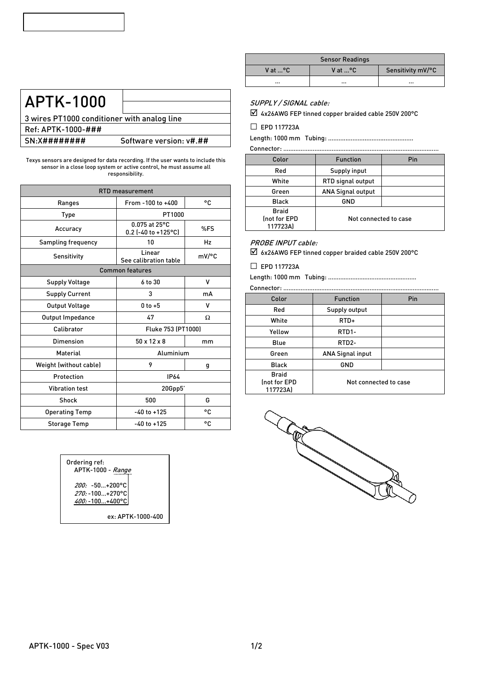# APTK-1000

3 wires PT1000 conditioner with analog line Ref: APTK-1000-### SN:X######### Software version: v#.##

Texys sensors are designed for data recording. If the user wants to include this sensor in a close loop system or active control, he must assume all responsibility.

| <b>RTD</b> measurement    |                                                    |       |  |
|---------------------------|----------------------------------------------------|-------|--|
| <b>Ranges</b>             | From -100 to +400                                  | ۰c    |  |
| Type                      | PT1000                                             |       |  |
| Accuracy                  | $0.075$ at $25^{\circ}$ C<br>$0.2$ (-40 to +125°C) | %FS   |  |
| <b>Sampling frequency</b> | 10                                                 | Hz    |  |
| Sensitivity               | Linear<br>See calibration table                    | mV/°C |  |
|                           | <b>Common features</b>                             |       |  |
| <b>Supply Voltage</b>     | 6 to 30                                            | ٧     |  |
| <b>Supply Current</b>     | 3                                                  | mA    |  |
| Output Voltage            | $0$ to $+5$                                        | v     |  |
| Output Impedance          | 47                                                 | Ω     |  |
| Calibrator                | Fluke 753 (PT1000)                                 |       |  |
| Dimension                 | $50 \times 12 \times 8$<br>mm                      |       |  |
| <b>Material</b>           | Aluminium                                          |       |  |
| Weight (without cable)    | 9                                                  | g     |  |
| Protection                | <b>IP64</b>                                        |       |  |
| <b>Vibration test</b>     | 20Gpp5'                                            |       |  |
| <b>Shock</b>              | 500                                                | G     |  |
| <b>Operating Temp</b>     | $-40$ to $+125$                                    | ۰c    |  |
| <b>Storage Temp</b>       | $-40$ to $+125$                                    | ۰c    |  |



| <b>Sensor Readings</b> |          |                   |  |
|------------------------|----------|-------------------|--|
| V at  °C               | V at …°C | Sensitivity mV/°C |  |
| $\cdots$               | $\cdots$ | $\cdots$          |  |

#### SUPPLY / SIGNAL cable:

4x26AWG FEP tinned copper braided cable 250V 200°C

□ EPD 117723A

Length: 1000 mm Tubing: ………..………..………..…………….

| Connector:                               |                          |     |  |  |
|------------------------------------------|--------------------------|-----|--|--|
| Color                                    | <b>Function</b>          | Pin |  |  |
| Red                                      | Supply input             |     |  |  |
| White                                    | <b>RTD</b> signal output |     |  |  |
| Green                                    | <b>ANA Signal output</b> |     |  |  |
| <b>Black</b>                             | GND                      |     |  |  |
| <b>Braid</b><br>Inot for EPD<br>117723A) | Not connected to case    |     |  |  |

### PROBE INPUT cable:

6x26AWG FEP tinned copper braided cable 250V 200°C

#### □ EPD 117723A

Length: 1000 mm Tubing: ……………………………………………

Connector:

| Color                                    | <b>Function</b>         | Pin |  |  |
|------------------------------------------|-------------------------|-----|--|--|
| Red                                      | Supply output           |     |  |  |
| White                                    | RTD+                    |     |  |  |
| Yellow                                   | RTD1-                   |     |  |  |
| Blue                                     | RTD <sub>2</sub> -      |     |  |  |
| Green                                    | <b>ANA Signal input</b> |     |  |  |
| <b>Black</b>                             | GND                     |     |  |  |
| <b>Braid</b><br>(not for EPD<br>117723A) | Not connected to case   |     |  |  |